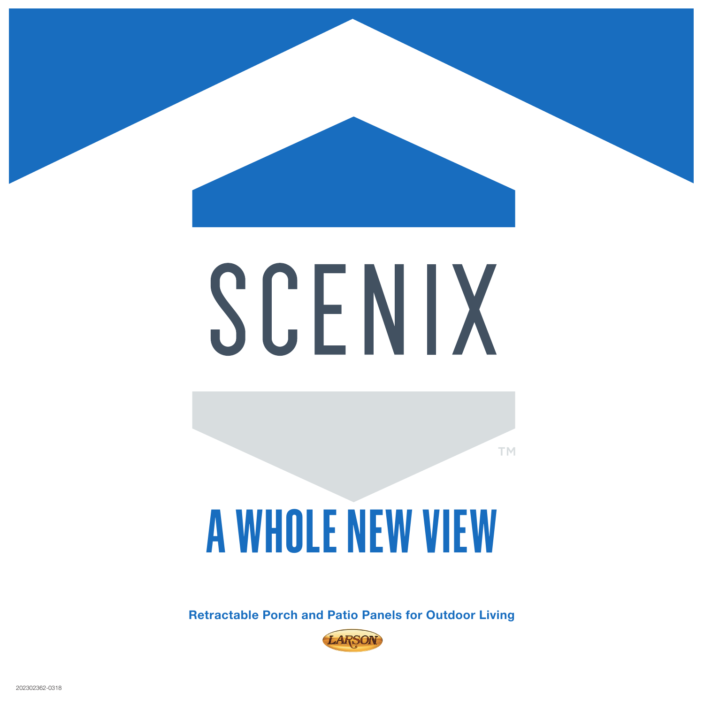

# SCENIX

**TM** 

## **A WHOLE NEW VIEW**

**Retractable Porch and Patio Panels for Outdoor Living**